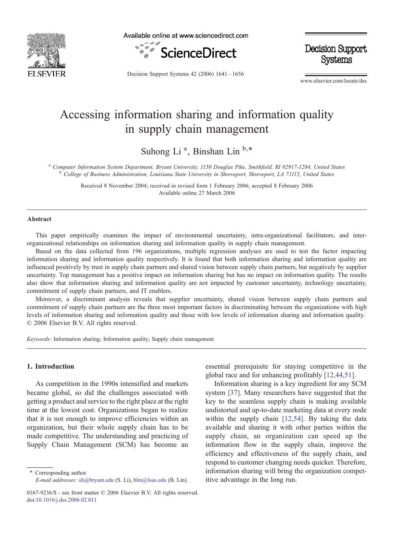

Available online at www.sciencedirect.com



**Decision Support** Systems

Decision Support Systems 42 (2006) 1641–1656

www.elsevier.com/locate/dss

## Accessing information sharing and information quality in supply chain management

Suhong Li<sup>a</sup>, Binshan Lin<sup>b,\*</sup>

<sup>a</sup> Computer Information System Department, Bryant University, 1150 Douglas Pike, Smithfield, RI 02917-1284, United States<br><sup>b</sup> College of Business Administration, Louisiana State University in Shreveport, Shreveport, LA 71

Received 8 November 2004; received in revised form 1 February 2006; accepted 8 February 2006 Available online 27 March 2006

#### Abstract

This paper empirically examines the impact of environmental uncertainty, intra-organizational facilitators, and interorganizational relationships on information sharing and information quality in supply chain management.

Based on the data collected from 196 organizations, multiple regression analyses are used to test the factor impacting information sharing and information quality respectively. It is found that both information sharing and information quality are influenced positively by trust in supply chain partners and shared vision between supply chain partners, but negatively by supplier uncertainty. Top management has a positive impact on information sharing but has no impact on information quality. The results also show that information sharing and information quality are not impacted by customer uncertainty, technology uncertainty, commitment of supply chain partners, and IT enablers.

Moreover, a discriminant analysis reveals that supplier uncertainty, shared vision between supply chain partners and commitment of supply chain partners are the three most important factors in discriminating between the organizations with high levels of information sharing and information quality and those with low levels of information sharing and information quality. © 2006 Elsevier B.V. All rights reserved.

Keywords: Information sharing; Information quality; Supply chain management

### 1. Introduction

As competition in the 1990s intensified and markets became global, so did the challenges associated with getting a product and service to the right place at the right time at the lowest cost. Organizations began to realize that it is not enough to improve efficiencies within an organization, but their whole supply chain has to be made competitive. The understanding and practicing of Supply Chain Management (SCM) has become an

⁎ Corresponding author. E-mail addresses: [sli@bryant.edu](mailto:sli@bryant.edu) (S. Li), [blin@lsus.edu](mailto:blin@lsus.edu) (B. Lin). essential prerequisite for staying competitive in the global race and for enhancing profitably [\[12,44,51\].](#page--1-0)

Information sharing is a key ingredient for any SCM system [\[37\]](#page--1-0). Many researchers have suggested that the key to the seamless supply chain is making available undistorted and up-to-date marketing data at every node within the supply chain [\[12,54\].](#page--1-0) By taking the data available and sharing it with other parties within the supply chain, an organization can speed up the information flow in the supply chain, improve the efficiency and effectiveness of the supply chain, and respond to customer changing needs quicker. Therefore, information sharing will bring the organization competitive advantage in the long run.

<sup>0167-9236/\$ -</sup> see front matter © 2006 Elsevier B.V. All rights reserved. [doi:10.1016/j.dss.2006.02.011](http://dx.doi.org/10.1016/j.dss.2006.02.011)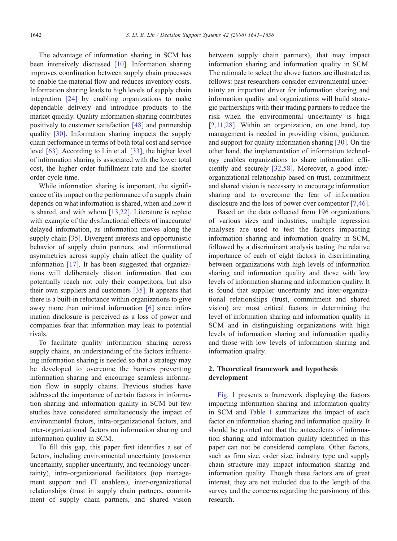The advantage of information sharing in SCM has been intensively discussed [\[10\]](#page--1-0). Information sharing improves coordination between supply chain processes to enable the material flow and reduces inventory costs. Information sharing leads to high levels of supply chain integration [\[24\]](#page--1-0) by enabling organizations to make dependable delivery and introduce products to the market quickly. Quality information sharing contributes positively to customer satisfaction [\[48\]](#page--1-0) and partnership quality [\[30\].](#page--1-0) Information sharing impacts the supply chain performance in terms of both total cost and service level [\[63\]](#page--1-0). According to Lin et al. [\[33\]](#page--1-0), the higher level of information sharing is associated with the lower total cost, the higher order fulfillment rate and the shorter order cycle time.

While information sharing is important, the significance of its impact on the performance of a supply chain depends on what information is shared, when and how it is shared, and with whom [\[13,22\]](#page--1-0). Literature is replete with example of the dysfunctional effects of inaccurate/ delayed information, as information moves along the supply chain [\[35\].](#page--1-0) Divergent interests and opportunistic behavior of supply chain partners, and informational asymmetries across supply chain affect the quality of information [\[17\]](#page--1-0). It has been suggested that organizations will deliberately distort information that can potentially reach not only their competitors, but also their own suppliers and customers [\[35\]](#page--1-0). It appears that there is a built-in reluctance within organizations to give away more than minimal information [\[6\]](#page--1-0) since information disclosure is perceived as a loss of power and companies fear that information may leak to potential rivals.

To facilitate quality information sharing across supply chains, an understanding of the factors influencing information sharing is needed so that a strategy may be developed to overcome the barriers preventing information sharing and encourage seamless information flow in supply chains. Previous studies have addressed the importance of certain factors in information sharing and information quality in SCM but few studies have considered simultaneously the impact of environmental factors, intra-organizational factors, and inter-organizational factors on information sharing and information quality in SCM.

To fill this gap, this paper first identifies a set of factors, including environmental uncertainty (customer uncertainty, supplier uncertainty, and technology uncertainty), intra-organizational facilitators (top management support and IT enablers), inter-organizational relationships (trust in supply chain partners, commitment of supply chain partners, and shared vision

between supply chain partners), that may impact information sharing and information quality in SCM. The rationale to select the above factors are illustrated as follows: past researchers consider environmental uncertainty an important driver for information sharing and information quality and organizations will build strategic partnerships with their trading partners to reduce the risk when the environmental uncertainty is high [\[2,11,28\]](#page--1-0). Within an organization, on one hand, top management is needed in providing vision, guidance, and support for quality information sharing [\[30\].](#page--1-0) On the other hand, the implementation of information technology enables organizations to share information efficiently and securely [\[32,58\].](#page--1-0) Moreover, a good interorganizational relationship based on trust, commitment and shared vision is necessary to encourage information sharing and to overcome the fear of information disclosure and the loss of power over competitor [\[7,46\].](#page--1-0)

Based on the data collected from 196 organizations of various sizes and industries, multiple regression analyses are used to test the factors impacting information sharing and information quality in SCM, followed by a discriminant analysis testing the relative importance of each of eight factors in discriminating between organizations with high levels of information sharing and information quality and those with low levels of information sharing and information quality. It is found that supplier uncertainty and inter-organizational relationships (trust, commitment and shared vision) are most critical factors in determining the level of information sharing and information quality in SCM and in distinguishing organizations with high levels of information sharing and information quality and those with low levels of information sharing and information quality.

### 2. Theoretical framework and hypothesis development

[Fig. 1](#page--1-0) presents a framework displaying the factors impacting information sharing and information quality in SCM and [Table 1](#page--1-0) summarizes the impact of each factor on information sharing and information quality. It should be pointed out that the antecedents of information sharing and information quality identified in this paper can not be considered complete. Other factors, such as firm size, order size, industry type and supply chain structure may impact information sharing and information quality. Though these factors are of great interest, they are not included due to the length of the survey and the concerns regarding the parsimony of this research.